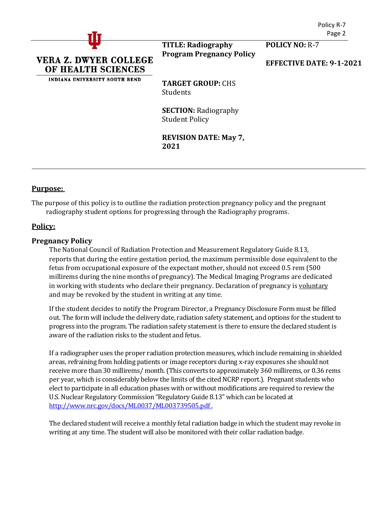

**TITLE: Radiography Program Pregnancy Policy**

**POLICY NO:** R-7

**EFFECTIVE DATE: 9-1-2021**

**TARGET GROUP:** CHS Students

**SECTION:** Radiography Student Policy

**REVISION DATE: May 7, 2021**

### **Purpose:**

The purpose of this policy is to outline the radiation protection pregnancy policy and the pregnant radiography student options for progressing through the Radiography programs.

# **Policy:**

### **Pregnancy Policy**

The National Council of Radiation Protection and Measurement Regulatory Guide 8.13, reports that during the entire gestation period, the maximum permissible dose equivalent to the fetus from occupational exposure of the expectant mother, should not exceed 0.5 rem (500 millirems during the nine months of pregnancy). The Medical Imaging Programs are dedicated in working with students who declare their pregnancy. Declaration of pregnancy is voluntary and may be revoked by the student in writing at any time.

If the student decides to notify the Program Director, a Pregnancy Disclosure Form must be filled out. The form will include the delivery date, radiation safety statement, and options for the student to progress into the program. The radiation safety statement is there to ensure the declared student is aware of the radiation risks to the student and fetus.

If a radiographer uses the proper radiation protection measures, which include remaining in shielded areas, refraining from holding patients or image receptors during x-ray exposures she should not receive more than 30 millirems/ month. (This converts to approximately 360 millirems, or 0.36 rems per year, which is considerably below the limits of the cited NCRP report.). Pregnant students who elect to participate in all education phases with or without modifications are required to review the U.S. Nuclear Regulatory Commission "Regulatory Guide 8.13" which can be located at [http://www.nrc.gov/docs/ML0037/ML003739505.pdf .](http://www.nrc.gov/docs/ML0037/ML003739505.pdf)

The declared student will receive a monthly fetal radiation badge in which the student may revoke in writing at any time. The student will also be monitored with their collar radiation badge.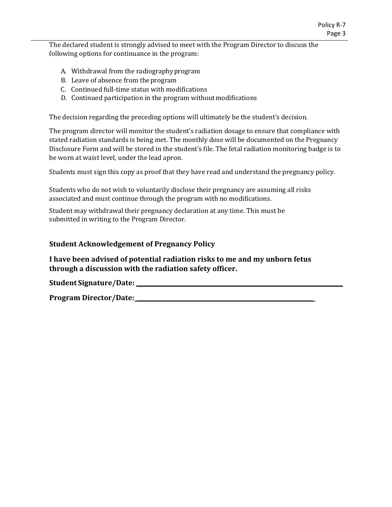The declared student is strongly advised to meet with the Program Director to discuss the following options for continuance in the program:

- A. Withdrawal from the radiographyprogram
- B. Leave of absence from theprogram
- C. Continued full-time status with modifications
- D. Continued participation in the program withoutmodifications

The decision regarding the preceding options will ultimately be the student's decision.

The program director will monitor the student's radiation dosage to ensure that compliance with stated radiation standards is being met. The monthly dose will be documented on the Pregnancy Disclosure Form and will be stored in the student's file. The fetal radiation monitoring badge is to be worn at waist level, under the lead apron.

Students must sign this copy as proof that they have read and understand the pregnancy policy.

Students who do not wish to voluntarily disclose their pregnancy are assuming all risks associated and must continue through the program with no modifications.

Student may withdrawal their pregnancy declaration at any time. This must be submitted in writing to the Program Director.

# **Student Acknowledgement of Pregnancy Policy**

**I have been advised of potential radiation risks to me and my unborn fetus through a discussion with the radiation safety officer.**

**Student Signature/Date:** 

**Program Director/Date: \_\_\_\_\_\_\_\_\_\_\_\_\_\_\_\_\_\_\_\_\_\_\_\_\_\_\_\_\_\_\_\_\_\_\_\_\_\_\_\_\_\_\_\_\_\_\_\_\_\_\_\_\_\_\_\_\_\_\_\_\_\_**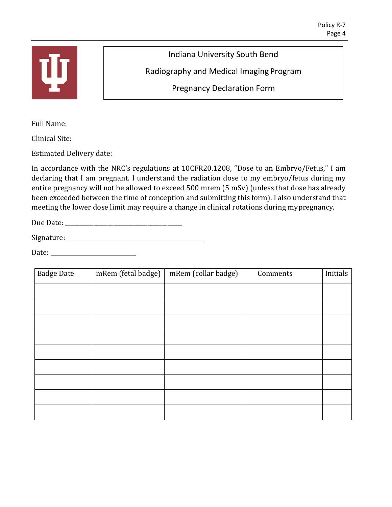

Indiana University South Bend

Radiography and Medical Imaging Program

Pregnancy Declaration Form

Full Name:

Clinical Site:

Estimated Delivery date:

In accordance with the NRC's regulations at 10CFR20.1208, "Dose to an Embryo/Fetus," I am declaring that I am pregnant. I understand the radiation dose to my embryo/fetus during my entire pregnancy will not be allowed to exceed 500 mrem (5 mSv) (unless that dose has already been exceeded between the time of conception and submitting this form). I also understand that meeting the lower dose limit may require a change in clinical rotations during mypregnancy.

Due Date:

Signature: Signature:

Date:

| <b>Badge Date</b> | mRem (fetal badge) | mRem (collar badge) | Comments | Initials |
|-------------------|--------------------|---------------------|----------|----------|
|                   |                    |                     |          |          |
|                   |                    |                     |          |          |
|                   |                    |                     |          |          |
|                   |                    |                     |          |          |
|                   |                    |                     |          |          |
|                   |                    |                     |          |          |
|                   |                    |                     |          |          |
|                   |                    |                     |          |          |
|                   |                    |                     |          |          |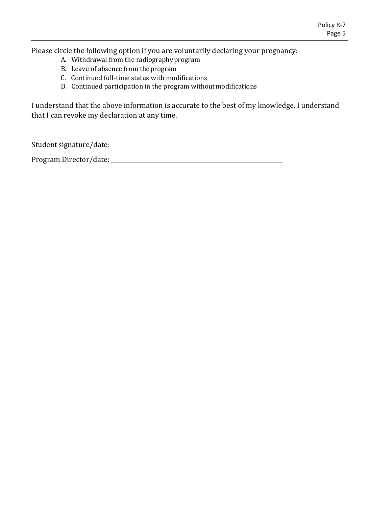Please circle the following option if you are voluntarily declaring your pregnancy:

- A. Withdrawal from the radiographyprogram
- B. Leave of absence from theprogram
- C. Continued full-time status with modifications
- D. Continued participation in the program without modifications

I understand that the above information is accurate to the best of my knowledge. I understand that I can revoke my declaration at any time.

Student signature/date:

Program Director/date: